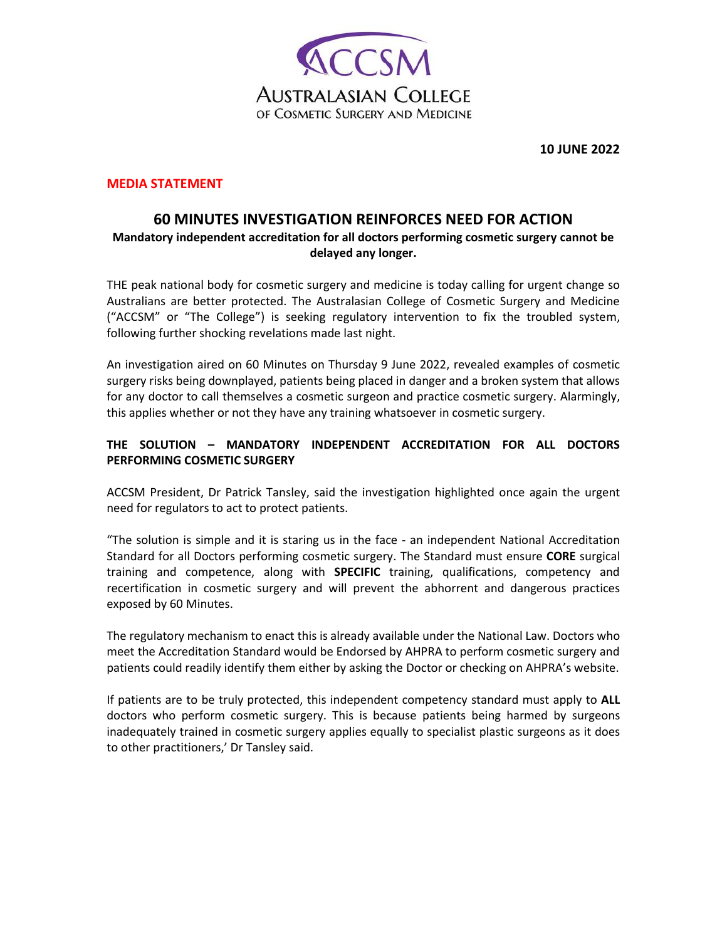

**10 JUNE 2022** 

## **MEDIA STATEMENT**

## **60 MINUTES INVESTIGATION REINFORCES NEED FOR ACTION Mandatory independent accreditation for all doctors performing cosmetic surgery cannot be delayed any longer.**

THE peak national body for cosmetic surgery and medicine is today calling for urgent change so Australians are better protected. The Australasian College of Cosmetic Surgery and Medicine ("ACCSM" or "The College") is seeking regulatory intervention to fix the troubled system, following further shocking revelations made last night.

An investigation aired on 60 Minutes on Thursday 9 June 2022, revealed examples of cosmetic surgery risks being downplayed, patients being placed in danger and a broken system that allows for any doctor to call themselves a cosmetic surgeon and practice cosmetic surgery. Alarmingly, this applies whether or not they have any training whatsoever in cosmetic surgery.

## **THE SOLUTION – MANDATORY INDEPENDENT ACCREDITATION FOR ALL DOCTORS PERFORMING COSMETIC SURGERY**

ACCSM President, Dr Patrick Tansley, said the investigation highlighted once again the urgent need for regulators to act to protect patients.

"The solution is simple and it is staring us in the face - an independent National Accreditation Standard for all Doctors performing cosmetic surgery. The Standard must ensure **CORE** surgical training and competence, along with **SPECIFIC** training, qualifications, competency and recertification in cosmetic surgery and will prevent the abhorrent and dangerous practices exposed by 60 Minutes.

The regulatory mechanism to enact this is already available under the National Law. Doctors who meet the Accreditation Standard would be Endorsed by AHPRA to perform cosmetic surgery and patients could readily identify them either by asking the Doctor or checking on AHPRA's website.

If patients are to be truly protected, this independent competency standard must apply to **ALL** doctors who perform cosmetic surgery. This is because patients being harmed by surgeons inadequately trained in cosmetic surgery applies equally to specialist plastic surgeons as it does to other practitioners,' Dr Tansley said.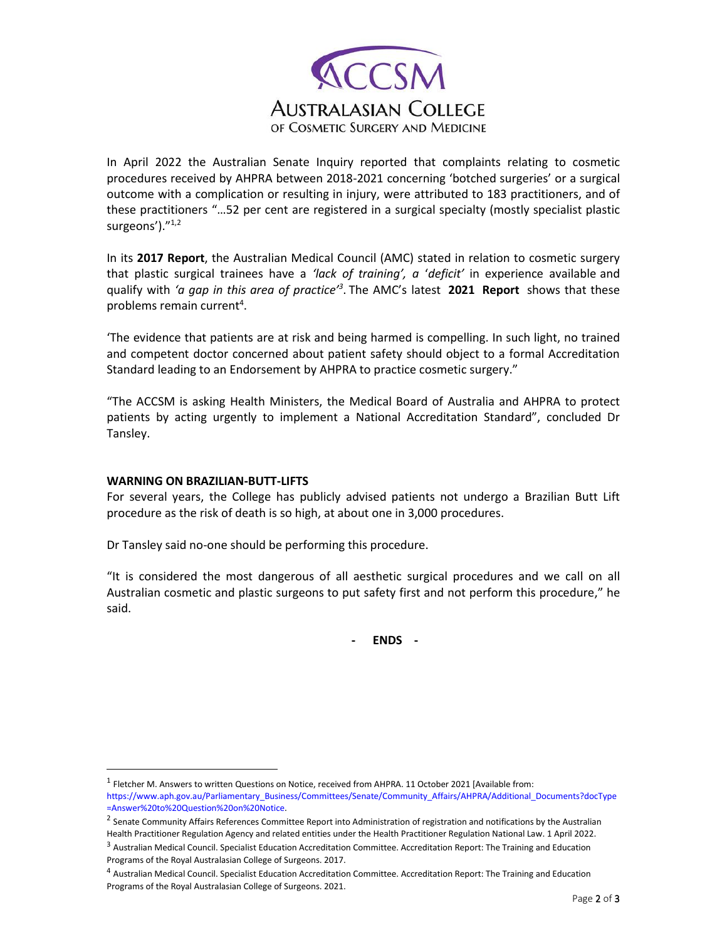

In April 2022 the Australian Senate Inquiry reported that complaints relating to cosmetic procedures received by AHPRA between 2018-2021 concerning 'botched surgeries' or a surgical outcome with a complication or resulting in injury, were attributed to 183 practitioners, and of these practitioners "…52 per cent are registered in a surgical specialty (mostly specialist plastic surgeons')."<sup>1,2</sup>

In its **2017 Report**, the Australian Medical Council (AMC) stated in relation to cosmetic surgery that plastic surgical trainees have a *'lack of training', a* '*deficit'* in experience available and qualify with *'a gap in this area of practice'<sup>3</sup>* . The AMC's latest **2021 Report** shows that these problems remain current<sup>4</sup>.

'The evidence that patients are at risk and being harmed is compelling. In such light, no trained and competent doctor concerned about patient safety should object to a formal Accreditation Standard leading to an Endorsement by AHPRA to practice cosmetic surgery."

"The ACCSM is asking Health Ministers, the Medical Board of Australia and AHPRA to protect patients by acting urgently to implement a National Accreditation Standard", concluded Dr Tansley.

## **WARNING ON BRAZILIAN-BUTT-LIFTS**

For several years, the College has publicly advised patients not undergo a Brazilian Butt Lift procedure as the risk of death is so high, at about one in 3,000 procedures.

Dr Tansley said no-one should be performing this procedure.

"It is considered the most dangerous of all aesthetic surgical procedures and we call on all Australian cosmetic and plastic surgeons to put safety first and not perform this procedure," he said.

**- ENDS -**

 $<sup>1</sup>$  Fletcher M. Answers to written Questions on Notice, received from AHPRA. 11 October 2021 [Available from:</sup>

https://www.aph.gov.au/Parliamentary\_Business/Committees/Senate/Community\_Affairs/AHPRA/Additional\_Documents?docType =Answer%20to%20Question%20on%20Notice.

<sup>&</sup>lt;sup>2</sup> Senate Community Affairs References Committee Report into Administration of registration and notifications by the Australian Health Practitioner Regulation Agency and related entities under the Health Practitioner Regulation National Law. 1 April 2022.

<sup>&</sup>lt;sup>3</sup> Australian Medical Council. Specialist Education Accreditation Committee. Accreditation Report: The Training and Education Programs of the Royal Australasian College of Surgeons. 2017.

<sup>4</sup> Australian Medical Council. Specialist Education Accreditation Committee. Accreditation Report: The Training and Education Programs of the Royal Australasian College of Surgeons. 2021.